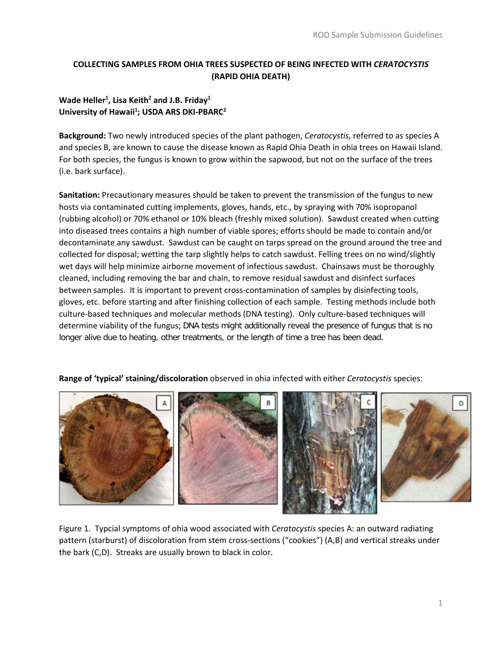# **COLLECTING SAMPLES FROM OHIA TREES SUSPECTED OF BEING INFECTED WITH** *CERATOCYSTIS* **(RAPID OHIA DEATH)**

# **Wade Heller1 , Lisa Keith2 and J.B. Friday1** University of Hawaii<sup>1</sup>; USDA ARS DKI-PBARC<sup>2</sup>

**Background:** Two newly introduced species of the plant pathogen, *Ceratocystis,* referred to as species A and species B, are known to cause the disease known as Rapid Ohia Death in ohia trees on Hawaii Island. For both species, the fungus is known to grow within the sapwood, but not on the surface of the trees (i.e. bark surface).

**Sanitation:** Precautionary measures should be taken to prevent the transmission of the fungus to new hosts via contaminated cutting implements, gloves, hands, etc., by spraying with 70% isopropanol (rubbing alcohol) or 70% ethanol or 10% bleach (freshly mixed solution). Sawdust created when cutting into diseased trees contains a high number of viable spores; efforts should be made to contain and/or decontaminate any sawdust. Sawdust can be caught on tarps spread on the ground around the tree and collected for disposal; wetting the tarp slightly helps to catch sawdust. Felling trees on no wind/slightly wet days will help minimize airborne movement of infectious sawdust. Chainsaws must be thoroughly cleaned, including removing the bar and chain, to remove residual sawdust and disinfect surfaces between samples. It is important to prevent cross-contamination of samples by disinfecting tools, gloves, etc. before starting and after finishing collection of each sample. Testing methods include both culture-based techniques and molecular methods (DNA testing). Only culture-based techniques will determine viability of the fungus; DNA tests might additionally reveal the presence of fungus that is no longer alive due to heating, other treatments, or the length of time a tree has been dead.

**Range of 'typical' staining/discoloration** observed in ohia infected with either *Ceratocystis* species:



Figure 1. Typcial symptoms of ohia wood associated with *Ceratocystis* species A: an outward radiating pattern (starburst) of discoloration from stem cross-sections ("cookies") (A,B) and vertical streaks under the bark (C,D). Streaks are usually brown to black in color.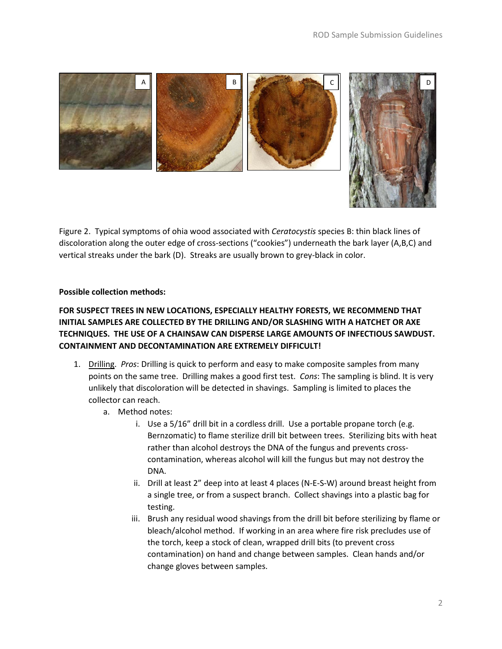

Figure 2. Typical symptoms of ohia wood associated with *Ceratocystis* species B: thin black lines of discoloration along the outer edge of cross-sections ("cookies") underneath the bark layer (A,B,C) and vertical streaks under the bark (D). Streaks are usually brown to grey-black in color.

### **Possible collection methods:**

## **FOR SUSPECT TREES IN NEW LOCATIONS, ESPECIALLY HEALTHY FORESTS, WE RECOMMEND THAT INITIAL SAMPLES ARE COLLECTED BY THE DRILLING AND/OR SLASHING WITH A HATCHET OR AXE TECHNIQUES. THE USE OF A CHAINSAW CAN DISPERSE LARGE AMOUNTS OF INFECTIOUS SAWDUST. CONTAINMENT AND DECONTAMINATION ARE EXTREMELY DIFFICULT!**

- 1. Drilling. *Pros*: Drilling is quick to perform and easy to make composite samples from many points on the same tree. Drilling makes a good first test. *Cons*: The sampling is blind. It is very unlikely that discoloration will be detected in shavings. Sampling is limited to places the collector can reach.
	- a. Method notes:
		- i. Use a 5/16" drill bit in a cordless drill. Use a portable propane torch (e.g. Bernzomatic) to flame sterilize drill bit between trees. Sterilizing bits with heat rather than alcohol destroys the DNA of the fungus and prevents crosscontamination, whereas alcohol will kill the fungus but may not destroy the DNA.
		- ii. Drill at least 2" deep into at least 4 places (N-E-S-W) around breast height from a single tree, or from a suspect branch. Collect shavings into a plastic bag for testing.
		- iii. Brush any residual wood shavings from the drill bit before sterilizing by flame or bleach/alcohol method. If working in an area where fire risk precludes use of the torch, keep a stock of clean, wrapped drill bits (to prevent cross contamination) on hand and change between samples. Clean hands and/or change gloves between samples.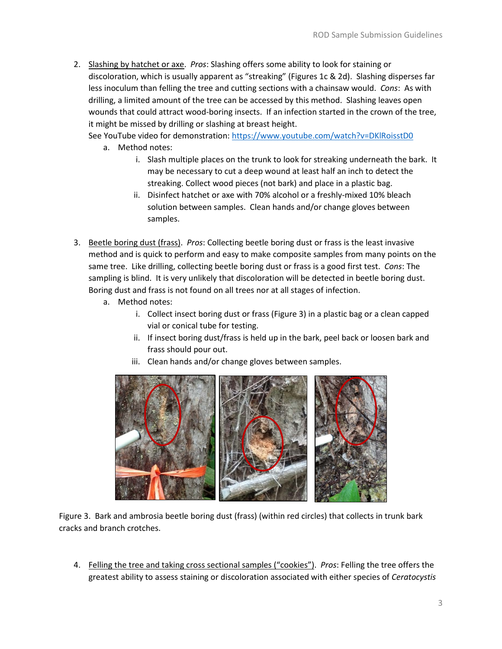2. Slashing by hatchet or axe. *Pros*: Slashing offers some ability to look for staining or discoloration, which is usually apparent as "streaking" (Figures 1c & 2d). Slashing disperses far less inoculum than felling the tree and cutting sections with a chainsaw would. *Cons*: As with drilling, a limited amount of the tree can be accessed by this method. Slashing leaves open wounds that could attract wood-boring insects. If an infection started in the crown of the tree, it might be missed by drilling or slashing at breast height.

See YouTube video for demonstration[: https://www.youtube.com/watch?v=DKlRoisstD0](https://www.youtube.com/watch?v=DKlRoisstD0)

- a. Method notes:
	- i. Slash multiple places on the trunk to look for streaking underneath the bark. It may be necessary to cut a deep wound at least half an inch to detect the streaking. Collect wood pieces (not bark) and place in a plastic bag.
	- ii. Disinfect hatchet or axe with 70% alcohol or a freshly-mixed 10% bleach solution between samples. Clean hands and/or change gloves between samples.
- 3. Beetle boring dust (frass). *Pros*: Collecting beetle boring dust or frass is the least invasive method and is quick to perform and easy to make composite samples from many points on the same tree. Like drilling, collecting beetle boring dust or frass is a good first test. *Cons*: The sampling is blind. It is very unlikely that discoloration will be detected in beetle boring dust. Boring dust and frass is not found on all trees nor at all stages of infection.
	- a. Method notes:
		- i. Collect insect boring dust or frass (Figure 3) in a plastic bag or a clean capped vial or conical tube for testing.
		- ii. If insect boring dust/frass is held up in the bark, peel back or loosen bark and frass should pour out.
		- iii. Clean hands and/or change gloves between samples.



Figure 3. Bark and ambrosia beetle boring dust (frass) (within red circles) that collects in trunk bark cracks and branch crotches.

4. Felling the tree and taking cross sectional samples ("cookies"). *Pros*: Felling the tree offers the greatest ability to assess staining or discoloration associated with either species of *Ceratocystis*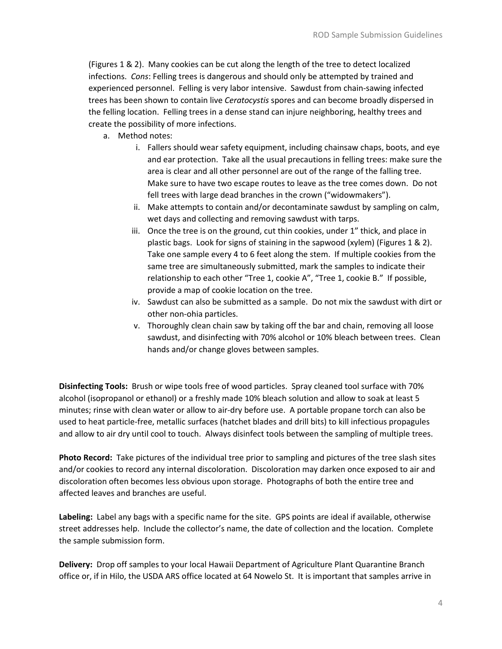(Figures 1 & 2). Many cookies can be cut along the length of the tree to detect localized infections. *Cons*: Felling trees is dangerous and should only be attempted by trained and experienced personnel. Felling is very labor intensive. Sawdust from chain-sawing infected trees has been shown to contain live *Ceratocystis* spores and can become broadly dispersed in the felling location. Felling trees in a dense stand can injure neighboring, healthy trees and create the possibility of more infections.

- a. Method notes:
	- i. Fallers should wear safety equipment, including chainsaw chaps, boots, and eye and ear protection. Take all the usual precautions in felling trees: make sure the area is clear and all other personnel are out of the range of the falling tree. Make sure to have two escape routes to leave as the tree comes down. Do not fell trees with large dead branches in the crown ("widowmakers").
	- ii. Make attempts to contain and/or decontaminate sawdust by sampling on calm, wet days and collecting and removing sawdust with tarps.
	- iii. Once the tree is on the ground, cut thin cookies, under 1" thick, and place in plastic bags. Look for signs of staining in the sapwood (xylem) (Figures 1 & 2). Take one sample every 4 to 6 feet along the stem. If multiple cookies from the same tree are simultaneously submitted, mark the samples to indicate their relationship to each other "Tree 1, cookie A", "Tree 1, cookie B." If possible, provide a map of cookie location on the tree.
	- iv. Sawdust can also be submitted as a sample. Do not mix the sawdust with dirt or other non-ohia particles.
	- v. Thoroughly clean chain saw by taking off the bar and chain, removing all loose sawdust, and disinfecting with 70% alcohol or 10% bleach between trees. Clean hands and/or change gloves between samples.

**Disinfecting Tools:** Brush or wipe tools free of wood particles. Spray cleaned tool surface with 70% alcohol (isopropanol or ethanol) or a freshly made 10% bleach solution and allow to soak at least 5 minutes; rinse with clean water or allow to air-dry before use. A portable propane torch can also be used to heat particle-free, metallic surfaces (hatchet blades and drill bits) to kill infectious propagules and allow to air dry until cool to touch. Always disinfect tools between the sampling of multiple trees.

**Photo Record:** Take pictures of the individual tree prior to sampling and pictures of the tree slash sites and/or cookies to record any internal discoloration. Discoloration may darken once exposed to air and discoloration often becomes less obvious upon storage. Photographs of both the entire tree and affected leaves and branches are useful.

**Labeling:** Label any bags with a specific name for the site. GPS points are ideal if available, otherwise street addresses help. Include the collector's name, the date of collection and the location. Complete the sample submission form.

**Delivery:** Drop off samples to your local Hawaii Department of Agriculture Plant Quarantine Branch office or, if in Hilo, the USDA ARS office located at 64 Nowelo St. It is important that samples arrive in